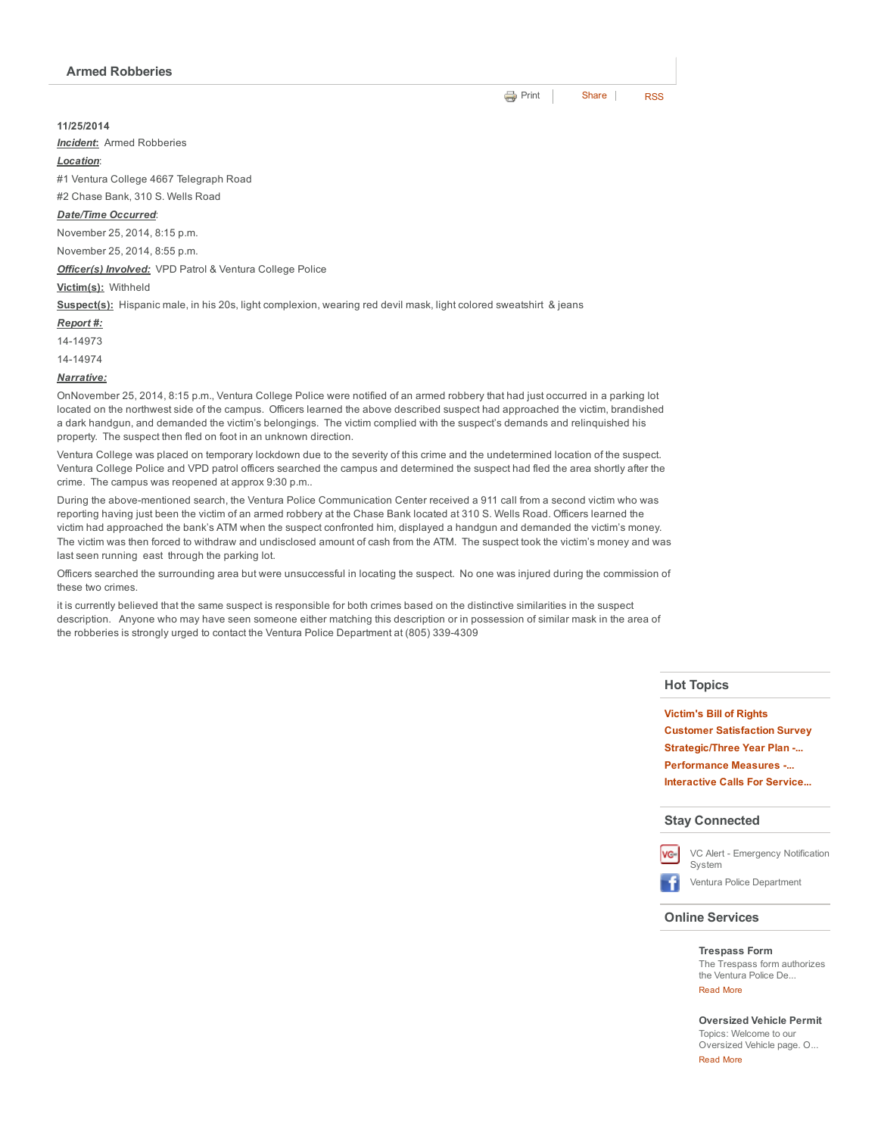### 11/25/2014

*Incident*: Armed Robberies

#### *Location*:

#1 Ventura College 4667 Telegraph Road

#2 Chase Bank, 310 S. Wells Road

#### *Date/Time Occurred*:

November 25, 2014, 8:15 p.m.

November 25, 2014, 8:55 p.m.

*Officer(s) Involved:* VPD Patrol & Ventura College Police

#### Victim(s): Withheld

Suspect(s): Hispanic male, in his 20s, light complexion, wearing red devil mask, light colored sweatshirt & jeans

#### *Report #:*

1414973

1414974

#### *Narrative:*

OnNovember 25, 2014, 8:15 p.m., Ventura College Police were notified of an armed robbery that had just occurred in a parking lot located on the northwest side of the campus. Officers learned the above described suspect had approached the victim, brandished a dark handgun, and demanded the victim's belongings. The victim complied with the suspect's demands and relinquished his property. The suspect then fled on foot in an unknown direction.

Ventura College was placed on temporary lockdown due to the severity of this crime and the undetermined location of the suspect. Ventura College Police and VPD patrol officers searched the campus and determined the suspect had fled the area shortly after the crime. The campus was reopened at approx 9:30 p.m..

During the above-mentioned search, the Ventura Police Communication Center received a 911 call from a second victim who was reporting having just been the victim of an armed robbery at the Chase Bank located at 310 S. Wells Road. Officers learned the victim had approached the bank's ATM when the suspect confronted him, displayed a handgun and demanded the victim's money. The victim was then forced to withdraw and undisclosed amount of cash from the ATM. The suspect took the victim's money and was last seen running east through the parking lot.

Officers searched the surrounding area but were unsuccessful in locating the suspect. No one was injured during the commission of these two crimes.

it is currently believed that the same suspect is responsible for both crimes based on the distinctive similarities in the suspect description. Anyone who may have seen someone either matching this description or in possession of similar mask in the area of the robberies is strongly urged to contact the Ventura Police Department at (805) 339-4309

## Hot Topics

[Victim's](http://www.cityofventura.net/pd/about/departments/investigations#victim%27s%20ri...) Bill of Rights Customer [Satisfaction](http://www.cityofventura.net/page/customer-satisfaction-survey) Survey [Strategic/Three](http://www.cityofventura.net/pd/about/strategicplan) Year Plan -... [Performance](http://www.cityofventura.net/pd/performancemeasures) Measures ... [Interactive](http://www.cityofventura.net/pd/crime/calls#map) Calls For Service...

#### Stay Connected



VC Alert - [Emergency](http://www.cityofventura.net/VCAlert) Notification System

Ventura Police [Department](http://www.facebook.com/venturapd)

#### Online Services

## [Trespass](http://www.cityofventura.net/node/17382) Form

The Trespass form authorizes the Ventura Police De... [Read](http://www.cityofventura.net/Trespass) More

[Oversized](http://www.cityofventura.net/pd/services/oversizedvehicle) Vehicle Permit Topics: Welcome to our Oversized Vehicle page. O... [Read](http://www.cityofventura.net/node/15747) More

**[Print](http://www.cityofventura.net/print/16285)** | [Share](javascript:void(0)) | [RSS](http://www.cityofventura.net/feed/press_release/rss.xml)